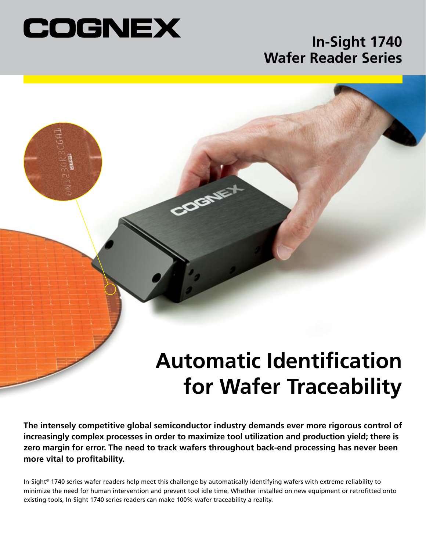

## **In-Sight 1740 Wafer Reader Series**

# **Automatic Identification for Wafer Traceability**

**The intensely competitive global semiconductor industry demands ever more rigorous control of increasingly complex processes in order to maximize tool utilization and production yield; there is zero margin for error. The need to track wafers throughout back-end processing has never been more vital to profitability.**

COGNE

In-Sight® 1740 series wafer readers help meet this challenge by automatically identifying wafers with extreme reliability to minimize the need for human intervention and prevent tool idle time. Whether installed on new equipment or retrofitted onto existing tools, In-Sight 1740 series readers can make 100% wafer traceability a reality.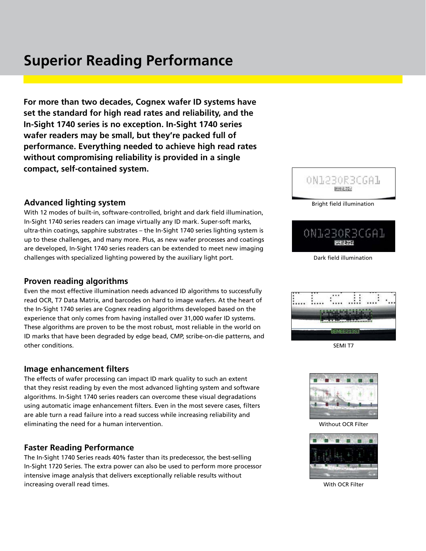## **Superior Reading Performance**

**For more than two decades, Cognex wafer ID systems have set the standard for high read rates and reliability, and the In-Sight 1740 series is no exception. In-Sight 1740 series wafer readers may be small, but they're packed full of performance. Everything needed to achieve high read rates without compromising reliability is provided in a single compact, self-contained system.**

#### **Advanced lighting system**

With 12 modes of built-in, software-controlled, bright and dark field illumination, In-Sight 1740 series readers can image virtually any ID mark. Super-soft marks, ultra-thin coatings, sapphire substrates – the In-Sight 1740 series lighting system is up to these challenges, and many more. Plus, as new wafer processes and coatings are developed, In-Sight 1740 series readers can be extended to meet new imaging challenges with specialized lighting powered by the auxiliary light port.

#### **Proven reading algorithms**

Even the most effective illumination needs advanced ID algorithms to successfully read OCR, T7 Data Matrix, and barcodes on hard to image wafers. At the heart of the In-Sight 1740 series are Cognex reading algorithms developed based on the experience that only comes from having installed over 31,000 wafer ID systems. These algorithms are proven to be the most robust, most reliable in the world on ID marks that have been degraded by edge bead, CMP, scribe-on-die patterns, and other conditions.

#### **Image enhancement filters**

The effects of wafer processing can impact ID mark quality to such an extent that they resist reading by even the most advanced lighting system and software algorithms. In-Sight 1740 series readers can overcome these visual degradations using automatic image enhancement filters. Even in the most severe cases, filters are able turn a read failure into a read success while increasing reliability and eliminating the need for a human intervention.

#### **Faster Reading Performance**

The In-Sight 1740 Series reads 40% faster than its predecessor, the best-selling In-Sight 1720 Series. The extra power can also be used to perform more processor intensive image analysis that delivers exceptionally reliable results without increasing overall read times.



Bright field illumination

ON1230R3CGA1

Dark field illumination



SEMI T7



Without OCR Filter



With OCR Filter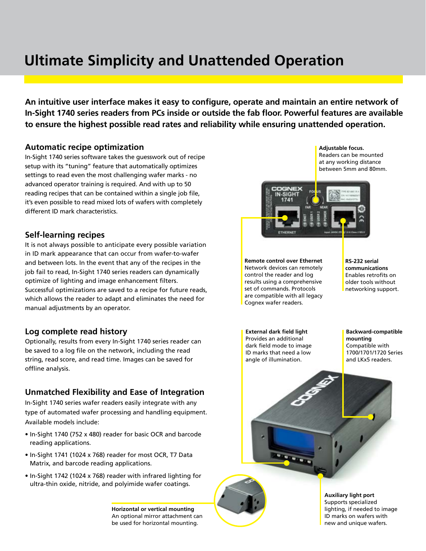# **Ultimate Simplicity and Unattended Operation**

**An intuitive user interface makes it easy to configure, operate and maintain an entire network of In-Sight 1740 series readers from PCs inside or outside the fab floor. Powerful features are available to ensure the highest possible read rates and reliability while ensuring unattended operation.**

#### **Automatic recipe optimization**

In-Sight 1740 series software takes the guesswork out of recipe setup with its "tuning" feature that automatically optimizes settings to read even the most challenging wafer marks - no advanced operator training is required. And with up to 50 reading recipes that can be contained within a single job file, it's even possible to read mixed lots of wafers with completely different ID mark characteristics.

#### **Self-learning recipes**

It is not always possible to anticipate every possible variation in ID mark appearance that can occur from wafer-to-wafer and between lots. In the event that any of the recipes in the job fail to read, In-Sight 1740 series readers can dynamically optimize of lighting and image enhancement filters. Successful optimizations are saved to a recipe for future reads, which allows the reader to adapt and eliminates the need for manual adjustments by an operator.

#### **Log complete read history**

Optionally, results from every In-Sight 1740 series reader can be saved to a log file on the network, including the read string, read score, and read time. Images can be saved for offline analysis.

#### **Unmatched Flexibility and Ease of Integration**

In-Sight 1740 series wafer readers easily integrate with any type of automated wafer processing and handling equipment. Available models include:

- In-Sight 1740 (752 x 480) reader for basic OCR and barcode reading applications.
- In-Sight 1741 (1024 x 768) reader for most OCR, T7 Data Matrix, and barcode reading applications.
- In-Sight 1742 (1024 x 768) reader with infrared lighting for ultra-thin oxide, nitride, and polyimide wafer coatings.

**Horizontal or vertical mounting** An optional mirror attachment can be used for horizontal mounting.

**Adjustable focus.** Readers can be mounted at any working distance between 5mm and 80mm.



**Remote control over Ethernet** Network devices can remotely control the reader and log results using a comprehensive set of commands. Protocols are compatible with all legacy Cognex wafer readers.

**RS-232 serial communications** Enables retrofits on older tools without networking support.

**External dark field light** Provides an additional dark field mode to image ID marks that need a low angle of illumination.

**Backward-compatible mounting** Compatible with 1700/1701/1720 Series and LKx5 readers.



**Auxiliary light port** Supports specialized lighting, if needed to image ID marks on wafers with new and unique wafers.